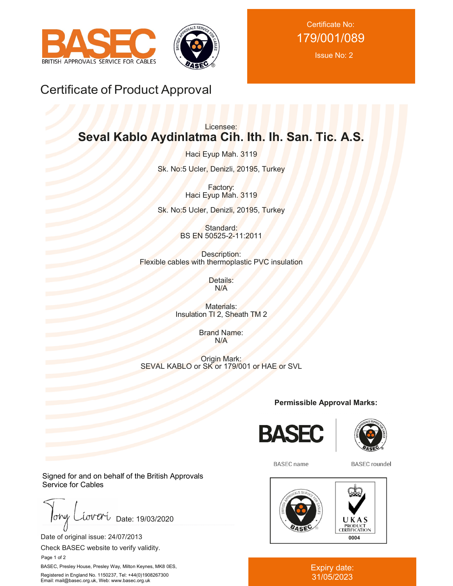



Certificate No: 179/001/089

Issue No: 2

# Certificate of Product Approval

# Licensee: **Seval Kablo Aydinlatma Cih. Ith. Ih. San. Tic. A.S.**

Haci Eyup Mah. 3119

Sk. No:5 Ucler, Denizli, 20195, Turkey

Factory: Haci Eyup Mah. 3119

Sk. No:5 Ucler, Denizli, 20195, Turkey

Standard: BS EN 50525-2-11:2011

Description: Flexible cables with thermoplastic PVC insulation

> Details: N/A

Materials: Insulation TI 2, Sheath TM 2

> Brand Name: N/A

Origin Mark: SEVAL KABLO or SK or 179/001 or HAE or SVL

**Permissible Approval Marks:**





**BASEC** name

**BASEC** roundel



#### Expiry date: 31/05/2023

Signed for and on behalf of the British Approvals Service for Cables

 $low$ iover Date: 19/03/2020

Date of original issue: 24/07/2013

Check BASEC website to verify validity.

Page 1 of 2

BASEC, Presley House, Presley Way, Milton Keynes, MK8 0ES, Registered in England No. 1150237, Tel: +44(0)1908267300 Email: mail@basec.org.uk, Web: www.basec.org.uk